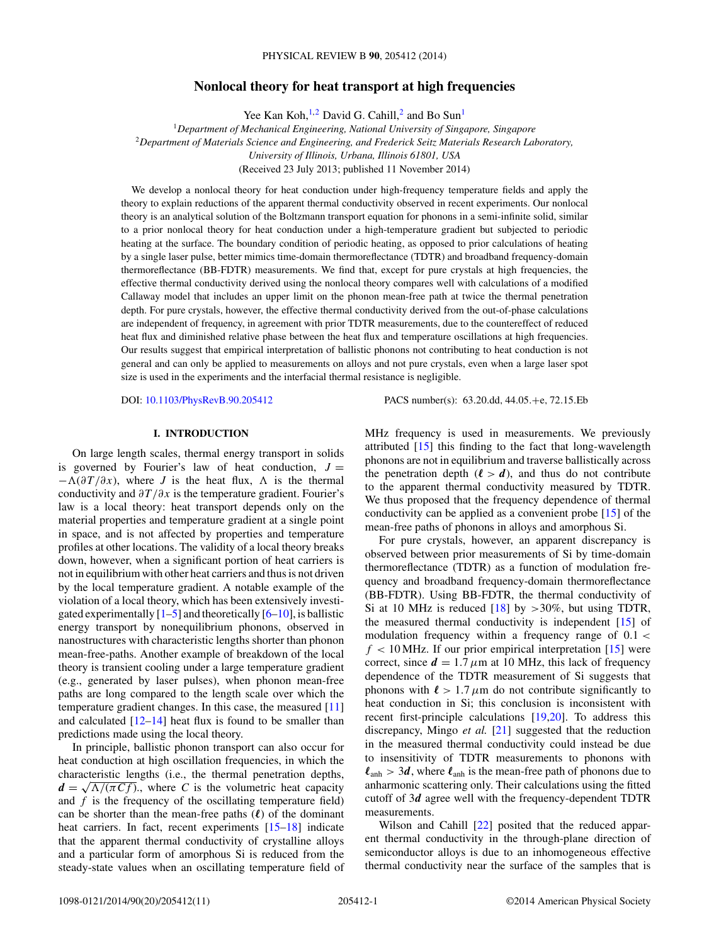# **Nonlocal theory for heat transport at high frequencies**

Yee Kan Koh,<sup>1,2</sup> David G. Cahill,<sup>2</sup> and Bo Sun<sup>1</sup>

<sup>1</sup>*Department of Mechanical Engineering, National University of Singapore, Singapore* <sup>2</sup>*Department of Materials Science and Engineering, and Frederick Seitz Materials Research Laboratory, University of Illinois, Urbana, Illinois 61801, USA* (Received 23 July 2013; published 11 November 2014)

We develop a nonlocal theory for heat conduction under high-frequency temperature fields and apply the theory to explain reductions of the apparent thermal conductivity observed in recent experiments. Our nonlocal theory is an analytical solution of the Boltzmann transport equation for phonons in a semi-infinite solid, similar to a prior nonlocal theory for heat conduction under a high-temperature gradient but subjected to periodic heating at the surface. The boundary condition of periodic heating, as opposed to prior calculations of heating by a single laser pulse, better mimics time-domain thermoreflectance (TDTR) and broadband frequency-domain thermoreflectance (BB-FDTR) measurements. We find that, except for pure crystals at high frequencies, the effective thermal conductivity derived using the nonlocal theory compares well with calculations of a modified Callaway model that includes an upper limit on the phonon mean-free path at twice the thermal penetration depth. For pure crystals, however, the effective thermal conductivity derived from the out-of-phase calculations are independent of frequency, in agreement with prior TDTR measurements, due to the countereffect of reduced heat flux and diminished relative phase between the heat flux and temperature oscillations at high frequencies. Our results suggest that empirical interpretation of ballistic phonons not contributing to heat conduction is not general and can only be applied to measurements on alloys and not pure crystals, even when a large laser spot size is used in the experiments and the interfacial thermal resistance is negligible.

DOI: [10.1103/PhysRevB.90.205412](http://dx.doi.org/10.1103/PhysRevB.90.205412) PACS number(s): 63*.*20*.*dd*,* 44*.*05*.*+e*,* 72*.*15*.*Eb

## **I. INTRODUCTION**

On large length scales, thermal energy transport in solids is governed by Fourier's law of heat conduction,  $J =$  $- \Lambda(\partial T/\partial x)$ , where *J* is the heat flux,  $\Lambda$  is the thermal conductivity and *∂T/∂x* is the temperature gradient. Fourier's law is a local theory: heat transport depends only on the material properties and temperature gradient at a single point in space, and is not affected by properties and temperature profiles at other locations. The validity of a local theory breaks down, however, when a significant portion of heat carriers is not in equilibrium with other heat carriers and thus is not driven by the local temperature gradient. A notable example of the violation of a local theory, which has been extensively investigated experimentally  $[1-5]$  and theoretically  $[6-10]$ , is ballistic energy transport by nonequilibrium phonons, observed in nanostructures with characteristic lengths shorter than phonon mean-free-paths. Another example of breakdown of the local theory is transient cooling under a large temperature gradient (e.g., generated by laser pulses), when phonon mean-free paths are long compared to the length scale over which the temperature gradient changes. In this case, the measured [\[11\]](#page-10-0) and calculated  $[12-14]$  heat flux is found to be smaller than predictions made using the local theory.

In principle, ballistic phonon transport can also occur for heat conduction at high oscillation frequencies, in which the characteristic lengths (i.e., the thermal penetration depths,  $d = \sqrt{\Lambda/(\pi C f)}$ , where *C* is the volumetric heat capacity and *f* is the frequency of the oscillating temperature field) can be shorter than the mean-free paths ( $\ell$ ) of the dominant heat carriers. In fact, recent experiments  $[15-18]$  indicate that the apparent thermal conductivity of crystalline alloys and a particular form of amorphous Si is reduced from the steady-state values when an oscillating temperature field of MHz frequency is used in measurements. We previously attributed [\[15\]](#page-10-0) this finding to the fact that long-wavelength phonons are not in equilibrium and traverse ballistically across the penetration depth  $(l > d)$ , and thus do not contribute to the apparent thermal conductivity measured by TDTR. We thus proposed that the frequency dependence of thermal conductivity can be applied as a convenient probe [\[15\]](#page-10-0) of the mean-free paths of phonons in alloys and amorphous Si.

For pure crystals, however, an apparent discrepancy is observed between prior measurements of Si by time-domain thermoreflectance (TDTR) as a function of modulation frequency and broadband frequency-domain thermoreflectance (BB-FDTR). Using BB-FDTR, the thermal conductivity of Si at 10 MHz is reduced [\[18\]](#page-10-0) by *>*30%, but using TDTR, the measured thermal conductivity is independent [\[15\]](#page-10-0) of modulation frequency within a frequency range of 0*.*1 *<*  $f < 10$  MHz. If our prior empirical interpretation  $[15]$  were correct, since  $d = 1.7 \mu m$  at 10 MHz, this lack of frequency dependence of the TDTR measurement of Si suggests that phonons with  $\ell > 1.7 \mu m$  do not contribute significantly to heat conduction in Si; this conclusion is inconsistent with recent first-principle calculations [\[19,20\]](#page-10-0). To address this discrepancy, Mingo *et al.* [\[21\]](#page-10-0) suggested that the reduction in the measured thermal conductivity could instead be due to insensitivity of TDTR measurements to phonons with  $\ell_{\rm anh} > 3d$ , where  $\ell_{\rm anh}$  is the mean-free path of phonons due to anharmonic scattering only. Their calculations using the fitted cutoff of 3*d* agree well with the frequency-dependent TDTR measurements.

Wilson and Cahill [\[22\]](#page-10-0) posited that the reduced apparent thermal conductivity in the through-plane direction of semiconductor alloys is due to an inhomogeneous effective thermal conductivity near the surface of the samples that is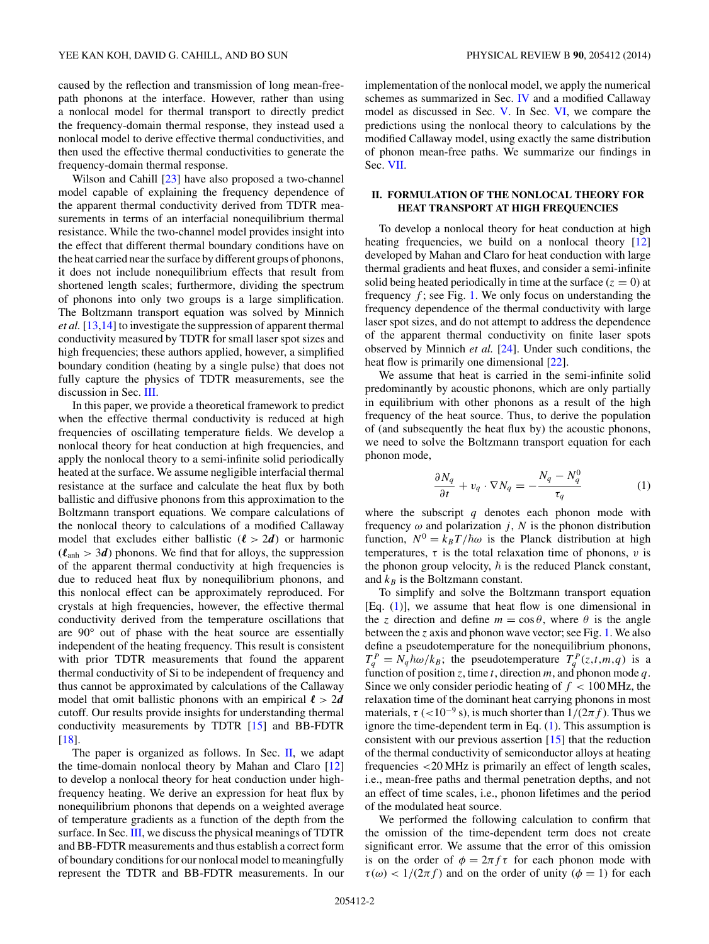<span id="page-1-0"></span>caused by the reflection and transmission of long mean-freepath phonons at the interface. However, rather than using a nonlocal model for thermal transport to directly predict the frequency-domain thermal response, they instead used a nonlocal model to derive effective thermal conductivities, and then used the effective thermal conductivities to generate the frequency-domain thermal response.

Wilson and Cahill [\[23\]](#page-10-0) have also proposed a two-channel model capable of explaining the frequency dependence of the apparent thermal conductivity derived from TDTR measurements in terms of an interfacial nonequilibrium thermal resistance. While the two-channel model provides insight into the effect that different thermal boundary conditions have on the heat carried near the surface by different groups of phonons, it does not include nonequilibrium effects that result from shortened length scales; furthermore, dividing the spectrum of phonons into only two groups is a large simplification. The Boltzmann transport equation was solved by Minnich *et al.* [\[13,14\]](#page-10-0) to investigate the suppression of apparent thermal conductivity measured by TDTR for small laser spot sizes and high frequencies; these authors applied, however, a simplified boundary condition (heating by a single pulse) that does not fully capture the physics of TDTR measurements, see the discussion in Sec. [III.](#page-4-0)

In this paper, we provide a theoretical framework to predict when the effective thermal conductivity is reduced at high frequencies of oscillating temperature fields. We develop a nonlocal theory for heat conduction at high frequencies, and apply the nonlocal theory to a semi-infinite solid periodically heated at the surface. We assume negligible interfacial thermal resistance at the surface and calculate the heat flux by both ballistic and diffusive phonons from this approximation to the Boltzmann transport equations. We compare calculations of the nonlocal theory to calculations of a modified Callaway model that excludes either ballistic  $(l > 2d)$  or harmonic  $(\ell_{\text{anh}} > 3d)$  phonons. We find that for alloys, the suppression of the apparent thermal conductivity at high frequencies is due to reduced heat flux by nonequilibrium phonons, and this nonlocal effect can be approximately reproduced. For crystals at high frequencies, however, the effective thermal conductivity derived from the temperature oscillations that are 90° out of phase with the heat source are essentially independent of the heating frequency. This result is consistent with prior TDTR measurements that found the apparent thermal conductivity of Si to be independent of frequency and thus cannot be approximated by calculations of the Callaway model that omit ballistic phonons with an empirical  $\ell > 2d$ cutoff. Our results provide insights for understanding thermal conductivity measurements by TDTR [\[15\]](#page-10-0) and BB-FDTR [\[18\]](#page-10-0).

The paper is organized as follows. In Sec. II, we adapt the time-domain nonlocal theory by Mahan and Claro [\[12\]](#page-10-0) to develop a nonlocal theory for heat conduction under highfrequency heating. We derive an expression for heat flux by nonequilibrium phonons that depends on a weighted average of temperature gradients as a function of the depth from the surface. In Sec. [III,](#page-4-0) we discuss the physical meanings of TDTR and BB-FDTR measurements and thus establish a correct form of boundary conditions for our nonlocal model to meaningfully represent the TDTR and BB-FDTR measurements. In our implementation of the nonlocal model, we apply the numerical schemes as summarized in Sec. [IV](#page-5-0) and a modified Callaway model as discussed in Sec. [V.](#page-6-0) In Sec. [VI,](#page-7-0) we compare the predictions using the nonlocal theory to calculations by the modified Callaway model, using exactly the same distribution of phonon mean-free paths. We summarize our findings in Sec. [VII.](#page-9-0)

# **II. FORMULATION OF THE NONLOCAL THEORY FOR HEAT TRANSPORT AT HIGH FREQUENCIES**

To develop a nonlocal theory for heat conduction at high heating frequencies, we build on a nonlocal theory [\[12\]](#page-10-0) developed by Mahan and Claro for heat conduction with large thermal gradients and heat fluxes, and consider a semi-infinite solid being heated periodically in time at the surface  $(z = 0)$  at frequency *f* ; see Fig. [1.](#page-2-0) We only focus on understanding the frequency dependence of the thermal conductivity with large laser spot sizes, and do not attempt to address the dependence of the apparent thermal conductivity on finite laser spots observed by Minnich *et al.* [\[24\]](#page-10-0). Under such conditions, the heat flow is primarily one dimensional [\[22\]](#page-10-0).

We assume that heat is carried in the semi-infinite solid predominantly by acoustic phonons, which are only partially in equilibrium with other phonons as a result of the high frequency of the heat source. Thus, to derive the population of (and subsequently the heat flux by) the acoustic phonons, we need to solve the Boltzmann transport equation for each phonon mode,

$$
\frac{\partial N_q}{\partial t} + v_q \cdot \nabla N_q = -\frac{N_q - N_q^0}{\tau_q} \tag{1}
$$

where the subscript *q* denotes each phonon mode with frequency  $\omega$  and polarization *j*, *N* is the phonon distribution function,  $N^0 = k_B T/\hbar \omega$  is the Planck distribution at high temperatures,  $\tau$  is the total relaxation time of phonons,  $v$  is the phonon group velocity,  $\hbar$  is the reduced Planck constant, and  $k_B$  is the Boltzmann constant.

To simplify and solve the Boltzmann transport equation [Eq. (1)], we assume that heat flow is one dimensional in the *z* direction and define  $m = \cos \theta$ , where  $\theta$  is the angle between the *z* axis and phonon wave vector; see Fig. [1.](#page-2-0) We also define a pseudotemperature for the nonequilibrium phonons,  $T_q^P = N_q \hbar \omega / k_B$ ; the pseudotemperature  $T_q^P(z,t,m,q)$  is a function of position *z*, time *t*, direction *m*, and phonon mode *q*. Since we only consider periodic heating of  $f < 100$  MHz, the relaxation time of the dominant heat carrying phonons in most materials,  $\tau$  (<10<sup>-9</sup> s), is much shorter than  $1/(2\pi f)$ . Thus we ignore the time-dependent term in Eq. (1). This assumption is consistent with our previous assertion [\[15\]](#page-10-0) that the reduction of the thermal conductivity of semiconductor alloys at heating frequencies *<*20 MHz is primarily an effect of length scales, i.e., mean-free paths and thermal penetration depths, and not an effect of time scales, i.e., phonon lifetimes and the period of the modulated heat source.

We performed the following calculation to confirm that the omission of the time-dependent term does not create significant error. We assume that the error of this omission is on the order of  $\phi = 2\pi f \tau$  for each phonon mode with  $\tau(\omega) < 1/(2\pi f)$  and on the order of unity ( $\phi = 1$ ) for each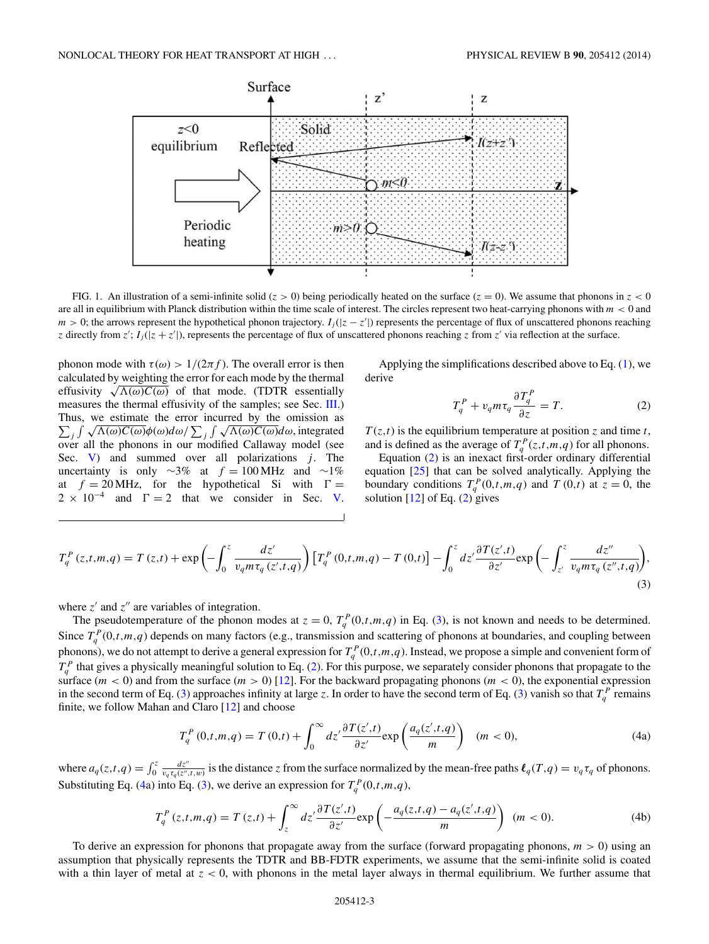<span id="page-2-0"></span>

FIG. 1. An illustration of a semi-infinite solid ( $z > 0$ ) being periodically heated on the surface ( $z = 0$ ). We assume that phonons in  $z < 0$ are all in equilibrium with Planck distribution within the time scale of interest. The circles represent two heat-carrying phonons with *m <* 0 and *m* > 0; the arrows represent the hypothetical phonon trajectory. *I<sub>j</sub>*(|*z* − *z*'|) represents the percentage of flux of unscattered phonons reaching *z* directly from *z*';  $I_j(|z + z'|)$ , represents the percentage of flux of unscattered phonons reaching *z* from *z'* via reflection at the surface.

phonon mode with  $\tau(\omega) > 1/(2\pi f)$ . The overall error is then calculated by weighting the error for each mode by the thermal effusivity  $\sqrt{\Lambda(\omega)C(\omega)}$  of that mode. (TDTR essentially measures the thermal effusivity of the samples; see Sec. [III.](#page-4-0)) Thus, we estimate the error incurred by the omission as  $\sum_j \int \sqrt{\Lambda(\omega)C(\omega)}\phi(\omega)d\omega / \sum_j \int \sqrt{\Lambda(\omega)C(\omega)}d\omega$ , integrated over all the phonons in our modified Callaway model (see Sec.  $V$ ) and summed over all polarizations  $j$ . The uncertainty is only ∼3% at  $f = 100$  MHz and ∼1% at  $f = 20 \text{ MHz}$ , for the hypothetical Si with  $\Gamma =$  $2 \times 10^{-4}$  and  $\Gamma = 2$  that we consider in Sec. [V.](#page-6-0)

Applying the simplifications described above to Eq. [\(1\)](#page-1-0), we derive

$$
T_q^P + v_q m \tau_q \frac{\partial T_q^P}{\partial z} = T.
$$
 (2)

 $T(z,t)$  is the equilibrium temperature at position *z* and time *t*, and is defined as the average of  $T_q^P(z,t,m,q)$  for all phonons.

Equation (2) is an inexact first-order ordinary differential equation [\[25\]](#page-10-0) that can be solved analytically. Applying the boundary conditions  $T_q^P(0,t,m,q)$  and  $T(0,t)$  at  $z=0$ , the solution  $[12]$  of Eq.  $(2)$  gives

$$
T_q^P(z,t,m,q) = T(z,t) + \exp\left(-\int_0^z \frac{dz'}{v_q m \tau_q(z',t,q)}\right) \left[T_q^P(0,t,m,q) - T(0,t)\right] - \int_0^z dz' \frac{\partial T(z',t)}{\partial z'} \exp\left(-\int_{z'}^z \frac{dz''}{v_q m \tau_q(z'',t,q)}\right),\tag{3}
$$

where  $z'$  and  $z''$  are variables of integration.

The pseudotemperature of the phonon modes at  $z = 0$ ,  $T_q^P(0,t,m,q)$  in Eq. (3), is not known and needs to be determined. Since  $T_q^P(0,t,m,q)$  depends on many factors (e.g., transmission and scattering of phonons at boundaries, and coupling between phonons), we do not attempt to derive a general expression for  $T_q^P(0,t,m,q)$ . Instead, we propose a simple and convenient form of  $T_q^P$  that gives a physically meaningful solution to Eq. (2). For this purpose, we separately consider phonons that propagate to the surface  $(m < 0)$  and from the surface  $(m > 0)$  [\[12\]](#page-10-0). For the backward propagating phonons  $(m < 0)$ , the exponential expression in the second term of Eq. (3) approaches infinity at large *z*. In order to have the second term of Eq. (3) vanish so that  $T_q^P$  remains finite, we follow Mahan and Claro [\[12\]](#page-10-0) and choose

$$
T_q^P(0,t,m,q) = T(0,t) + \int_0^\infty dz' \frac{\partial T(z',t)}{\partial z'} \exp\left(\frac{a_q(z',t,q)}{m}\right) \quad (m < 0),\tag{4a}
$$

where  $a_q(z,t,q) = \int_0^z \frac{dz''}{v_q \tau_q(z'',t,w)}$  is the distance z from the surface normalized by the mean-free paths  $\ell_q(T,q) = v_q \tau_q$  of phonons. Substituting Eq. (4a) into Eq. (3), we derive an expression for  $T_q^P(0,t,m,q)$ ,

$$
T_q^P(z,t,m,q) = T(z,t) + \int_z^\infty dz' \frac{\partial T(z',t)}{\partial z'} \exp\left(-\frac{a_q(z,t,q) - a_q(z',t,q)}{m}\right) \ (m < 0). \tag{4b}
$$

To derive an expression for phonons that propagate away from the surface (forward propagating phonons, *m >* 0) using an assumption that physically represents the TDTR and BB-FDTR experiments, we assume that the semi-infinite solid is coated with a thin layer of metal at *z <* 0, with phonons in the metal layer always in thermal equilibrium. We further assume that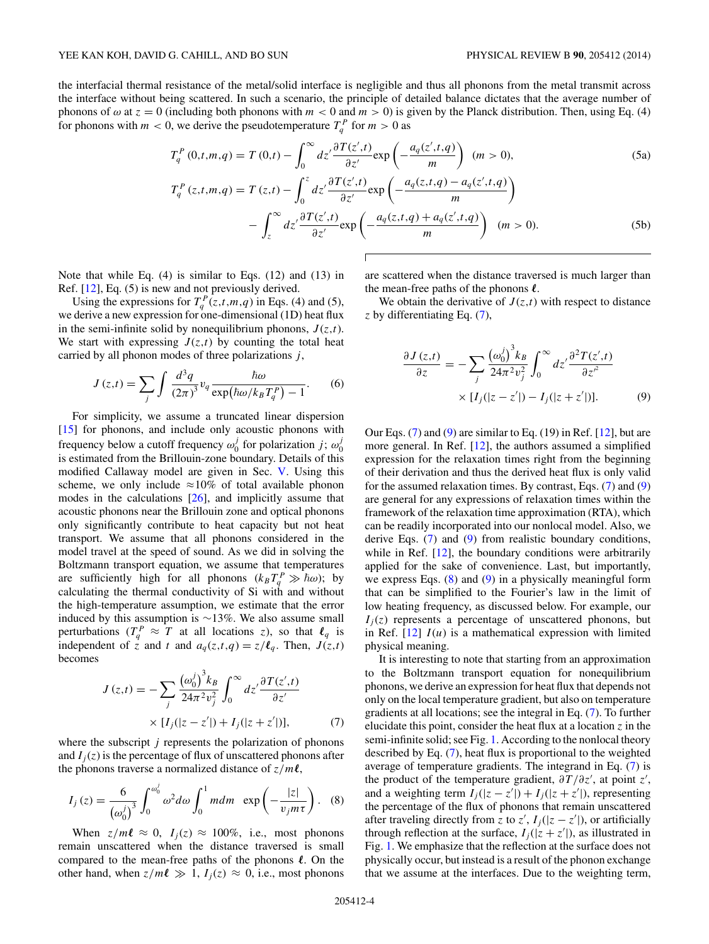<span id="page-3-0"></span>the interfacial thermal resistance of the metal/solid interface is negligible and thus all phonons from the metal transmit across the interface without being scattered. In such a scenario, the principle of detailed balance dictates that the average number of phonons of  $\omega$  at  $z = 0$  (including both phonons with  $m < 0$  and  $m > 0$ ) is given by the Planck distribution. Then, using Eq. (4) for phonons with  $m < 0$ , we derive the pseudotemperature  $T_q^P$  for  $m > 0$  as

$$
T_q^P(0,t,m,q) = T(0,t) - \int_0^\infty dz' \frac{\partial T(z',t)}{\partial z'} \exp\left(-\frac{a_q(z',t,q)}{m}\right) \ (m>0),\tag{5a}
$$

$$
T_q^P(z,t,m,q) = T(z,t) - \int_0^z dz' \frac{\partial T(z',t)}{\partial z'} \exp\left(-\frac{a_q(z,t,q) - a_q(z',t,q)}{m}\right)
$$

$$
- \int_z^\infty dz' \frac{\partial T(z',t)}{\partial z'} \exp\left(-\frac{a_q(z,t,q) + a_q(z',t,q)}{m}\right) \quad (m > 0). \tag{5b}
$$

Note that while Eq. (4) is similar to Eqs. (12) and (13) in Ref. [\[12\]](#page-10-0), Eq. (5) is new and not previously derived.

Using the expressions for  $T_q^P(z,t,m,q)$  in Eqs. (4) and (5), we derive a new expression for one-dimensional (1D) heat flux in the semi-infinite solid by nonequilibrium phonons,  $J(z,t)$ . We start with expressing  $J(z,t)$  by counting the total heat carried by all phonon modes of three polarizations *j* ,

$$
J(z,t) = \sum_{j} \int \frac{d^3q}{(2\pi)^3} v_q \frac{\hbar \omega}{\exp(\hbar \omega / k_B T_q^P) - 1}.
$$
 (6)

For simplicity, we assume a truncated linear dispersion [\[15\]](#page-10-0) for phonons, and include only acoustic phonons with frequency below a cutoff frequency  $\omega_0^j$  for polarization *j*;  $\omega_0^j$ is estimated from the Brillouin-zone boundary. Details of this modified Callaway model are given in Sec. [V.](#page-6-0) Using this scheme, we only include  $\approx 10\%$  of total available phonon modes in the calculations [\[26\]](#page-10-0), and implicitly assume that acoustic phonons near the Brillouin zone and optical phonons only significantly contribute to heat capacity but not heat transport. We assume that all phonons considered in the model travel at the speed of sound. As we did in solving the Boltzmann transport equation, we assume that temperatures are sufficiently high for all phonons  $(k_BT_q^P \gg \hbar \omega)$ ; by calculating the thermal conductivity of Si with and without the high-temperature assumption, we estimate that the error induced by this assumption is ∼13%. We also assume small perturbations ( $T_q^P \approx T$  at all locations *z*), so that  $\ell_q$  is independent of *z* and *t* and  $a_q(z,t,q) = z/\ell_q$ . Then,  $J(z,t)$ becomes

$$
J(z,t) = -\sum_{j} \frac{(\omega_0^j)^3 k_B}{24\pi^2 v_j^2} \int_0^\infty dz' \frac{\partial T(z',t)}{\partial z'}
$$

$$
\times [I_j(|z-z'|) + I_j(|z+z'|)], \tag{7}
$$

where the subscript *j* represents the polarization of phonons and  $I_i(z)$  is the percentage of flux of unscattered phonons after the phonons traverse a normalized distance of  $z/m\ell$ ,

$$
I_j(z) = \frac{6}{(\omega_0^j)^3} \int_0^{\omega_0^j} \omega^2 d\omega \int_0^1 m dm \exp\left(-\frac{|z|}{v_j m \tau}\right). \tag{8}
$$

When  $z/m\ell \approx 0$ ,  $I_j(z) \approx 100\%$ , i.e., most phonons remain unscattered when the distance traversed is small compared to the mean-free paths of the phonons  $\ell$ . On the other hand, when  $z/m\ell \gg 1$ ,  $I_j(z) \approx 0$ , i.e., most phonons

are scattered when the distance traversed is much larger than the mean-free paths of the phonons  $\ell$ .

We obtain the derivative of  $J(z,t)$  with respect to distance *z* by differentiating Eq. (7),

$$
\frac{\partial J(z,t)}{\partial z} = -\sum_{j} \frac{(\omega_0^j)^3 k_B}{24\pi^2 v_j^2} \int_0^\infty dz' \frac{\partial^2 T(z',t)}{\partial z'^2} \times [I_j(|z-z'|) - I_j(|z+z'|)]. \tag{9}
$$

Our Eqs.  $(7)$  and  $(9)$  are similar to Eq.  $(19)$  in Ref.  $[12]$ , but are more general. In Ref. [\[12\]](#page-10-0), the authors assumed a simplified expression for the relaxation times right from the beginning of their derivation and thus the derived heat flux is only valid for the assumed relaxation times. By contrast, Eqs. (7) and (9) are general for any expressions of relaxation times within the framework of the relaxation time approximation (RTA), which can be readily incorporated into our nonlocal model. Also, we derive Eqs. (7) and (9) from realistic boundary conditions, while in Ref. [\[12\]](#page-10-0), the boundary conditions were arbitrarily applied for the sake of convenience. Last, but importantly, we express Eqs.  $(8)$  and  $(9)$  in a physically meaningful form that can be simplified to the Fourier's law in the limit of low heating frequency, as discussed below. For example, our  $I_i(z)$  represents a percentage of unscattered phonons, but in Ref.  $[12]$   $I(u)$  is a mathematical expression with limited physical meaning.

It is interesting to note that starting from an approximation to the Boltzmann transport equation for nonequilibrium phonons, we derive an expression for heat flux that depends not only on the local temperature gradient, but also on temperature gradients at all locations; see the integral in Eq. (7). To further elucidate this point, consider the heat flux at a location *z* in the semi-infinite solid; see Fig. [1.](#page-2-0) According to the nonlocal theory described by Eq. (7), heat flux is proportional to the weighted average of temperature gradients. The integrand in Eq. (7) is the product of the temperature gradient,  $\frac{\partial T}{\partial z'}$ , at point *z'*, and a weighting term  $I_j(|z - z'|) + I_j(|z + z'|)$ , representing the percentage of the flux of phonons that remain unscattered after traveling directly from *z* to *z'*,  $I_j(|z - z'|)$ , or artificially through reflection at the surface,  $I_j(|z+z'|)$ , as illustrated in Fig. [1.](#page-2-0) We emphasize that the reflection at the surface does not physically occur, but instead is a result of the phonon exchange that we assume at the interfaces. Due to the weighting term,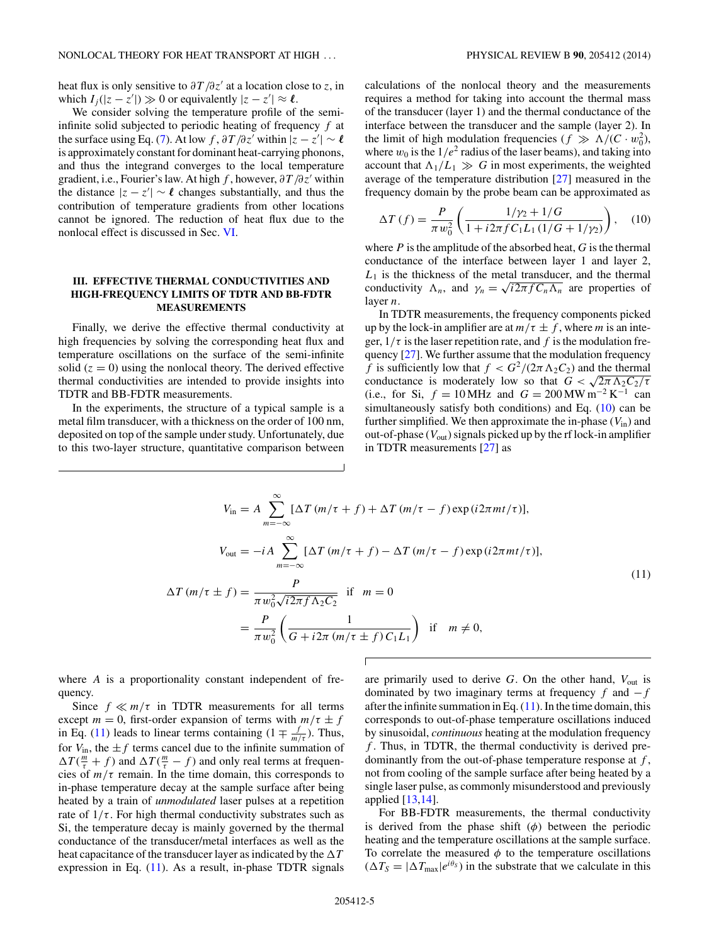<span id="page-4-0"></span>heat flux is only sensitive to  $\partial T/\partial z'$  at a location close to *z*, in which  $I_j(|z - z'|) \gg 0$  or equivalently  $|z - z'| \approx \ell$ .

We consider solving the temperature profile of the semiinfinite solid subjected to periodic heating of frequency *f* at the surface using Eq. [\(7\)](#page-3-0). At low *f*,  $\partial T / \partial z'$  within  $|z - z'| \sim \ell$ is approximately constant for dominant heat-carrying phonons, and thus the integrand converges to the local temperature gradient, i.e., Fourier's law. At high *f* , however, *∂T /∂z* within the distance  $|z - z'| \sim \ell$  changes substantially, and thus the contribution of temperature gradients from other locations cannot be ignored. The reduction of heat flux due to the nonlocal effect is discussed in Sec. [VI.](#page-7-0)

# **III. EFFECTIVE THERMAL CONDUCTIVITIES AND HIGH-FREQUENCY LIMITS OF TDTR AND BB-FDTR MEASUREMENTS**

Finally, we derive the effective thermal conductivity at high frequencies by solving the corresponding heat flux and temperature oscillations on the surface of the semi-infinite solid  $(z = 0)$  using the nonlocal theory. The derived effective thermal conductivities are intended to provide insights into TDTR and BB-FDTR measurements.

In the experiments, the structure of a typical sample is a metal film transducer, with a thickness on the order of 100 nm, deposited on top of the sample under study. Unfortunately, due to this two-layer structure, quantitative comparison between calculations of the nonlocal theory and the measurements requires a method for taking into account the thermal mass of the transducer (layer 1) and the thermal conductance of the interface between the transducer and the sample (layer 2). In the limit of high modulation frequencies  $(f \gg \Lambda/(C \cdot w_0^2))$ , where  $w_0$  is the  $1/e^2$  radius of the laser beams), and taking into account that  $\Lambda_1/L_1 \gg G$  in most experiments, the weighted average of the temperature distribution [\[27\]](#page-10-0) measured in the frequency domain by the probe beam can be approximated as

$$
\Delta T\left(f\right) = \frac{P}{\pi w_0^2} \left( \frac{1/\gamma_2 + 1/G}{1 + i2\pi f C_1 L_1 \left(1/G + 1/\gamma_2\right)} \right), \quad (10)
$$

where *P* is the amplitude of the absorbed heat, *G* is the thermal conductance of the interface between layer 1 and layer 2,  $L_1$  is the thickness of the metal transducer, and the thermal conductivity  $\Lambda_n$ , and  $\gamma_n = \sqrt{i2\pi f C_n \Lambda_n}$  are properties of layer *n*.

In TDTR measurements, the frequency components picked up by the lock-in amplifier are at  $m/\tau \pm f$ , where *m* is an integer,  $1/\tau$  is the laser repetition rate, and f is the modulation frequency [\[27\]](#page-10-0). We further assume that the modulation frequency *f* is sufficiently low that  $f < \frac{G^2}{2\pi} \Lambda_2 C_2$  and the thermal conductance is moderately low so that  $G < \sqrt{2\pi \Lambda_2 C_2/\tau}$ (i.e., for Si,  $f = 10$  MHz and  $G = 200$  MW m<sup>-2</sup> K<sup>-1</sup> can simultaneously satisfy both conditions) and Eq. (10) can be further simplified. We then approximate the in-phase  $(V_{in})$  and out-of-phase  $(V_{\text{out}})$  signals picked up by the rf lock-in amplifier in TDTR measurements [\[27\]](#page-10-0) as

$$
V_{\text{in}} = A \sum_{m=-\infty}^{\infty} [\Delta T (m/\tau + f) + \Delta T (m/\tau - f) \exp(i2\pi mt/\tau)],
$$
  
\n
$$
V_{\text{out}} = -iA \sum_{m=-\infty}^{\infty} [\Delta T (m/\tau + f) - \Delta T (m/\tau - f) \exp(i2\pi mt/\tau)],
$$
  
\n
$$
\Delta T (m/\tau \pm f) = \frac{P}{\pi w_0^2 \sqrt{i2\pi f \Delta_2 C_2}} \quad \text{if} \quad m = 0
$$
  
\n
$$
= \frac{P}{\pi w_0^2} \left( \frac{1}{G + i2\pi (m/\tau \pm f) C_1 L_1} \right) \quad \text{if} \quad m \neq 0,
$$
  
\n(11)

where *A* is a proportionality constant independent of frequency.

Since  $f \ll m/\tau$  in TDTR measurements for all terms except  $m = 0$ , first-order expansion of terms with  $m/\tau \pm f$ in Eq. (11) leads to linear terms containing  $(1 \mp \frac{f}{m/\tau})$ . Thus, for  $V_{\text{in}}$ , the  $\pm f$  terms cancel due to the infinite summation of  $\Delta T(\frac{m}{\tau} + f)$  and  $\Delta T(\frac{m}{\tau} - f)$  and only real terms at frequencies of  $m/\tau$  remain. In the time domain, this corresponds to in-phase temperature decay at the sample surface after being heated by a train of *unmodulated* laser pulses at a repetition rate of  $1/\tau$ . For high thermal conductivity substrates such as Si, the temperature decay is mainly governed by the thermal conductance of the transducer/metal interfaces as well as the heat capacitance of the transducer layer as indicated by the  *T* expression in Eq. (11). As a result, in-phase TDTR signals are primarily used to derive *G*. On the other hand, *V*out is dominated by two imaginary terms at frequency *f* and −*f* after the infinite summation in Eq.  $(11)$ . In the time domain, this corresponds to out-of-phase temperature oscillations induced by sinusoidal, *continuous* heating at the modulation frequency *f* . Thus, in TDTR, the thermal conductivity is derived predominantly from the out-of-phase temperature response at *f* , not from cooling of the sample surface after being heated by a single laser pulse, as commonly misunderstood and previously applied [\[13,14\]](#page-10-0).

For BB-FDTR measurements, the thermal conductivity is derived from the phase shift  $(\phi)$  between the periodic heating and the temperature oscillations at the sample surface. To correlate the measured  $\phi$  to the temperature oscillations  $(\Delta T_S = |\Delta T_{\text{max}}|e^{i\theta_S})$  in the substrate that we calculate in this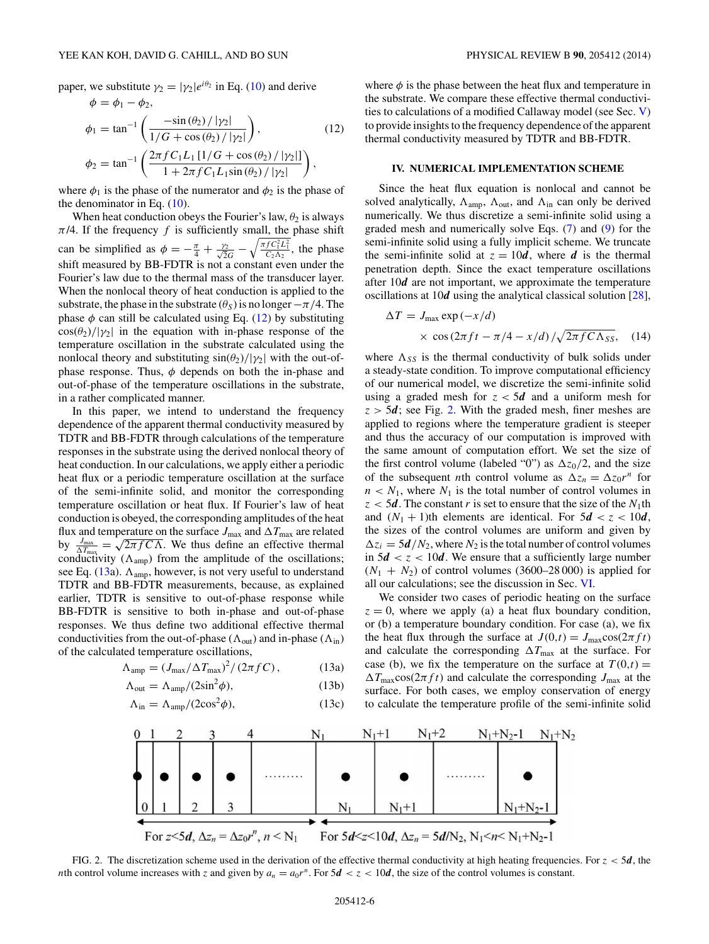<span id="page-5-0"></span>paper, we substitute  $\gamma_2 = |\gamma_2|e^{i\theta_2}$  in Eq. [\(10\)](#page-4-0) and derive  $\phi = \phi_1 - \phi_2$ 

$$
\phi_1 = \tan^{-1} \left( \frac{-\sin(\theta_2) / |\gamma_2|}{1/G + \cos(\theta_2) / |\gamma_2|} \right),
$$
\n
$$
\phi_2 = \tan^{-1} \left( \frac{2\pi f C_1 L_1 [1/G + \cos(\theta_2) / |\gamma_2|]}{1 + 2\pi f C_1 L_1 \sin(\theta_2) / |\gamma_2|} \right),
$$
\n(12)

where  $\phi_1$  is the phase of the numerator and  $\phi_2$  is the phase of the denominator in Eq.  $(10)$ .

When heat conduction obeys the Fourier's law,  $\theta_2$  is always  $\pi/4$ . If the frequency *f* is sufficiently small, the phase shift can be simplified as  $\phi = -\frac{\pi}{4} + \frac{\gamma_2}{\sqrt{2}G} - \sqrt{\frac{\pi f C_1^2 L_1^2}{C_2 \Lambda_2}}$ , the phase shift measured by BB-FDTR is not a constant even under the Fourier's law due to the thermal mass of the transducer layer. When the nonlocal theory of heat conduction is applied to the substrate, the phase in the substrate  $(\theta_S)$  is no longer  $-\pi/4$ . The phase  $\phi$  can still be calculated using Eq. (12) by substituting  $\cos(\theta_2)/|\gamma_2|$  in the equation with in-phase response of the temperature oscillation in the substrate calculated using the nonlocal theory and substituting  $\sin(\theta_2)/|\gamma_2|$  with the out-ofphase response. Thus,  $\phi$  depends on both the in-phase and out-of-phase of the temperature oscillations in the substrate, in a rather complicated manner.

In this paper, we intend to understand the frequency dependence of the apparent thermal conductivity measured by TDTR and BB-FDTR through calculations of the temperature responses in the substrate using the derived nonlocal theory of heat conduction. In our calculations, we apply either a periodic heat flux or a periodic temperature oscillation at the surface of the semi-infinite solid, and monitor the corresponding temperature oscillation or heat flux. If Fourier's law of heat conduction is obeyed, the corresponding amplitudes of the heat flux and temperature on the surface  $J_{\rm max}$  and  $\Delta T_{\rm max}$  are related by  $\frac{J_{\text{max}}}{\Delta T_{\text{max}}} = \sqrt{2\pi f C\Lambda}$ . We thus define an effective thermal conductivity  $(\Lambda_{\text{amp}})$  from the amplitude of the oscillations; see Eq.  $(13a)$ .  $\Lambda_{\text{amp}}$ , however, is not very useful to understand TDTR and BB-FDTR measurements, because, as explained earlier, TDTR is sensitive to out-of-phase response while BB-FDTR is sensitive to both in-phase and out-of-phase responses. We thus define two additional effective thermal conductivities from the out-of-phase ( $\Lambda_{\text{out}}$ ) and in-phase ( $\Lambda_{\text{in}}$ ) of the calculated temperature oscillations,

$$
\Lambda_{\rm amp} = (J_{\rm max}/\Delta T_{\rm max})^2 / (2\pi f C), \qquad (13a)
$$

$$
\Lambda_{\text{out}} = \Lambda_{\text{amp}} / (2\sin^2 \phi),\tag{13b}
$$

$$
\Lambda_{\rm in} = \Lambda_{\rm amp} / (2\cos^2 \phi),\tag{13c}
$$

where  $\phi$  is the phase between the heat flux and temperature in the substrate. We compare these effective thermal conductivities to calculations of a modified Callaway model (see Sec. [V\)](#page-6-0) to provide insights to the frequency dependence of the apparent thermal conductivity measured by TDTR and BB-FDTR.

#### **IV. NUMERICAL IMPLEMENTATION SCHEME**

Since the heat flux equation is nonlocal and cannot be solved analytically,  $\Lambda_{\text{amp}}$ ,  $\Lambda_{\text{out}}$ , and  $\Lambda_{\text{in}}$  can only be derived numerically. We thus discretize a semi-infinite solid using a graded mesh and numerically solve Eqs. [\(7\)](#page-3-0) and [\(9\)](#page-3-0) for the semi-infinite solid using a fully implicit scheme. We truncate the semi-infinite solid at  $z = 10d$ , where *d* is the thermal penetration depth. Since the exact temperature oscillations after 10*d* are not important, we approximate the temperature oscillations at 10*d* using the analytical classical solution [\[28\]](#page-10-0),

$$
\Delta T = J_{\text{max}} \exp(-x/d)
$$
  
 
$$
\times \cos(2\pi ft - \pi/4 - x/d) / \sqrt{2\pi f C \Lambda_{SS}}, \quad (14)
$$

where  $\Lambda_{SS}$  is the thermal conductivity of bulk solids under a steady-state condition. To improve computational efficiency of our numerical model, we discretize the semi-infinite solid using a graded mesh for  $z < 5d$  and a uniform mesh for  $z > 5d$ ; see Fig. 2. With the graded mesh, finer meshes are applied to regions where the temperature gradient is steeper and thus the accuracy of our computation is improved with the same amount of computation effort. We set the size of the first control volume (labeled "0") as  $\Delta z_0/2$ , and the size of the subsequent *n*th control volume as  $\Delta z_n = \Delta z_0 r^n$  for  $n < N_1$ , where  $N_1$  is the total number of control volumes in  $z < 5d$ . The constant *r* is set to ensure that the size of the *N*<sub>1</sub>th and  $(N_1 + 1)$ th elements are identical. For  $5d < z < 10d$ , the sizes of the control volumes are uniform and given by  $\Delta z_i = 5d/N_2$ , where  $N_2$  is the total number of control volumes in  $5d < z < 10d$ . We ensure that a sufficiently large number  $(N_1 + N_2)$  of control volumes (3600–28000) is applied for all our calculations; see the discussion in Sec. [VI.](#page-7-0)

We consider two cases of periodic heating on the surface  $z = 0$ , where we apply (a) a heat flux boundary condition, or (b) a temperature boundary condition. For case (a), we fix the heat flux through the surface at  $J(0,t) = J_{\text{max}}\cos(2\pi ft)$ and calculate the corresponding  $\Delta T_{\text{max}}$  at the surface. For case (b), we fix the temperature on the surface at  $T(0,t) =$  $\Delta T_{\text{max}} \cos(2\pi f t)$  and calculate the corresponding  $J_{\text{max}}$  at the surface. For both cases, we employ conservation of energy to calculate the temperature profile of the semi-infinite solid



FIG. 2. The discretization scheme used in the derivation of the effective thermal conductivity at high heating frequencies. For  $z < 5d$ , the *n*th control volume increases with *z* and given by  $a_n = a_0 r^n$ . For  $5d < z < 10d$ , the size of the control volumes is constant.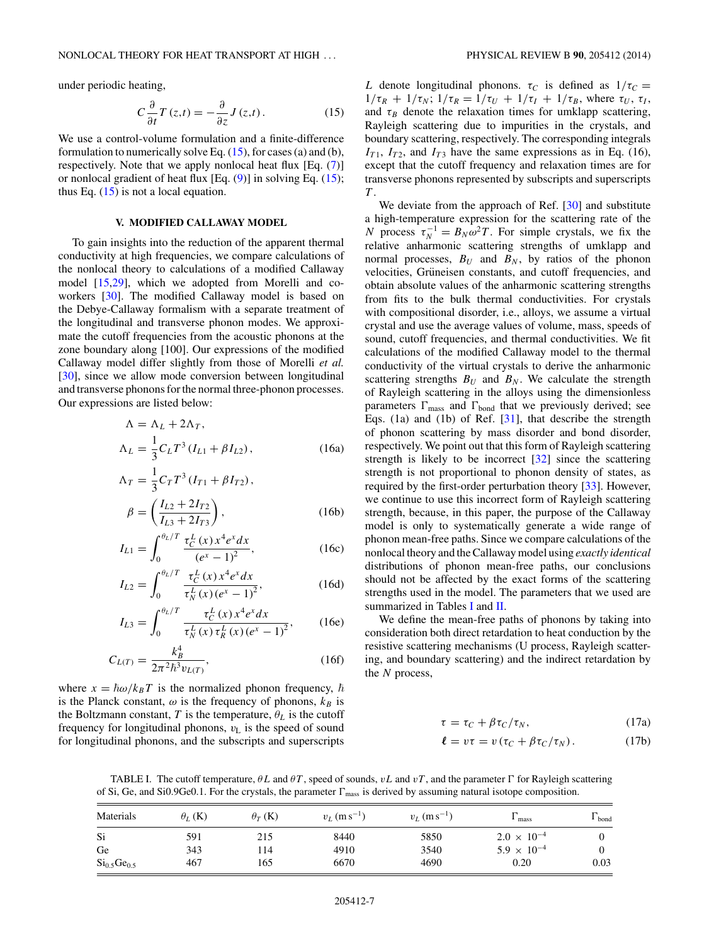<span id="page-6-0"></span>under periodic heating,

$$
C\frac{\partial}{\partial t}T(z,t) = -\frac{\partial}{\partial z}J(z,t). \tag{15}
$$

We use a control-volume formulation and a finite-difference formulation to numerically solve Eq.  $(15)$ , for cases (a) and (b), respectively. Note that we apply nonlocal heat flux [Eq. [\(7\)](#page-3-0)] or nonlocal gradient of heat flux  $[Eq. (9)]$  $[Eq. (9)]$  $[Eq. (9)]$  in solving Eq.  $(15)$ ; thus Eq.  $(15)$  is not a local equation.

### **V. MODIFIED CALLAWAY MODEL**

To gain insights into the reduction of the apparent thermal conductivity at high frequencies, we compare calculations of the nonlocal theory to calculations of a modified Callaway model [\[15,29\]](#page-10-0), which we adopted from Morelli and coworkers [\[30\]](#page-10-0). The modified Callaway model is based on the Debye-Callaway formalism with a separate treatment of the longitudinal and transverse phonon modes. We approximate the cutoff frequencies from the acoustic phonons at the zone boundary along [100]. Our expressions of the modified Callaway model differ slightly from those of Morelli *et al.* [\[30\]](#page-10-0), since we allow mode conversion between longitudinal and transverse phonons for the normal three-phonon processes. Our expressions are listed below:

$$
\Lambda = \Lambda_L + 2\Lambda_T,
$$
  
\n
$$
\Lambda_L = \frac{1}{3} C_L T^3 (I_{L1} + \beta I_{L2}),
$$
\n(16a)

$$
\Lambda_T = \frac{1}{3} C_T T^3 (I_{T1} + \beta I_{T2}),
$$
  
\n
$$
\beta = \left(\frac{I_{L2} + 2I_{T2}}{I_{T2}}\right),
$$
\n(16b)

$$
\beta = \left(\frac{2L}{I_{L3} + 2I_{T3}}\right),\tag{16b}
$$
\n
$$
I_{L1} = \int^{\theta_L/T} \tau_C^L(x) x^4 e^x dx\tag{16c}
$$

$$
I_{L1} = \int_0^{\infty} \frac{t_C (x) x e^x dx}{(e^x - 1)^2},
$$
 (16c)

$$
I_{L2} = \int_0^{\theta_L/T} \frac{\tau_C^L(x) x^4 e^x dx}{\tau_N^L(x) (e^x - 1)^2},
$$
 (16d)

$$
I_{L3} = \int_0^{\theta_L/T} \frac{\tau_C^L(x) x^4 e^x dx}{\tau_N^L(x) \tau_R^L(x) (e^x - 1)^2},
$$
 (16e)

$$
C_{L(T)} = \frac{k_B^4}{2\pi^2 \hbar^3 v_{L(T)}},\tag{16f}
$$

where  $x = \hbar \omega / k_B T$  is the normalized phonon frequency,  $\hbar$ is the Planck constant,  $\omega$  is the frequency of phonons,  $k_B$  is the Boltzmann constant, *T* is the temperature,  $\theta_L$  is the cutoff frequency for longitudinal phonons,  $v<sub>L</sub>$  is the speed of sound for longitudinal phonons, and the subscripts and superscripts *L* denote longitudinal phonons.  $\tau_C$  is defined as  $1/\tau_C =$  $1/\tau_R + 1/\tau_N$ ;  $1/\tau_R = 1/\tau_U + 1/\tau_I + 1/\tau_B$ , where  $\tau_U$ ,  $\tau_I$ , and  $\tau_B$  denote the relaxation times for umklapp scattering, Rayleigh scattering due to impurities in the crystals, and boundary scattering, respectively. The corresponding integrals  $I_{T1}$ ,  $I_{T2}$ , and  $I_{T3}$  have the same expressions as in Eq. (16), except that the cutoff frequency and relaxation times are for transverse phonons represented by subscripts and superscripts *T* .

We deviate from the approach of Ref. [\[30\]](#page-10-0) and substitute a high-temperature expression for the scattering rate of the *N* process  $\tau_N^{-1} = B_N \omega^2 T$ . For simple crystals, we fix the relative anharmonic scattering strengths of umklapp and normal processes,  $B_U$  and  $B_N$ , by ratios of the phonon velocities, Grüneisen constants, and cutoff frequencies, and obtain absolute values of the anharmonic scattering strengths from fits to the bulk thermal conductivities. For crystals with compositional disorder, i.e., alloys, we assume a virtual crystal and use the average values of volume, mass, speeds of sound, cutoff frequencies, and thermal conductivities. We fit calculations of the modified Callaway model to the thermal conductivity of the virtual crystals to derive the anharmonic scattering strengths  $B_U$  and  $B_N$ . We calculate the strength of Rayleigh scattering in the alloys using the dimensionless parameters  $\Gamma_{\text{mass}}$  and  $\Gamma_{\text{bond}}$  that we previously derived; see Eqs. (1a) and (1b) of Ref. [\[31\]](#page-10-0), that describe the strength of phonon scattering by mass disorder and bond disorder, respectively. We point out that this form of Rayleigh scattering strength is likely to be incorrect [\[32\]](#page-10-0) since the scattering strength is not proportional to phonon density of states, as required by the first-order perturbation theory [\[33\]](#page-10-0). However, we continue to use this incorrect form of Rayleigh scattering strength, because, in this paper, the purpose of the Callaway model is only to systematically generate a wide range of phonon mean-free paths. Since we compare calculations of the nonlocal theory and the Callaway model using *exactly identical* distributions of phonon mean-free paths, our conclusions should not be affected by the exact forms of the scattering strengths used in the model. The parameters that we used are summarized in Tables I and  $II$ .

We define the mean-free paths of phonons by taking into consideration both direct retardation to heat conduction by the resistive scattering mechanisms (U process, Rayleigh scattering, and boundary scattering) and the indirect retardation by the *N* process,

$$
\tau = \tau_C + \beta \tau_C / \tau_N, \qquad (17a)
$$

$$
\ell = v\tau = v\left(\tau_C + \beta\tau_C/\tau_N\right). \tag{17b}
$$

TABLE I. The cutoff temperature,  $\theta L$  and  $\theta T$ , speed of sounds,  $vL$  and  $vT$ , and the parameter  $\Gamma$  for Rayleigh scattering of Si, Ge, and Si0.9Ge0.1. For the crystals, the parameter  $\Gamma_{\text{mass}}$  is derived by assuming natural isotope composition.

| Materials          | $\theta_L$ (K) | $\theta_T$ (K) | $v_L$ (m s <sup>-1</sup> ) | $v_L$ (m s <sup>-1</sup> ) | mass                 | bond |
|--------------------|----------------|----------------|----------------------------|----------------------------|----------------------|------|
| Si                 | 591            | 215            | 8440                       | 5850                       | $2.0 \times 10^{-4}$ |      |
| Ge                 | 343            | l 14           | 4910                       | 3540                       | $5.9 \times 10^{-4}$ |      |
| $Si_{0.5}Ge_{0.5}$ | 467            | 165            | 6670                       | 4690                       | 0.20                 | 0.03 |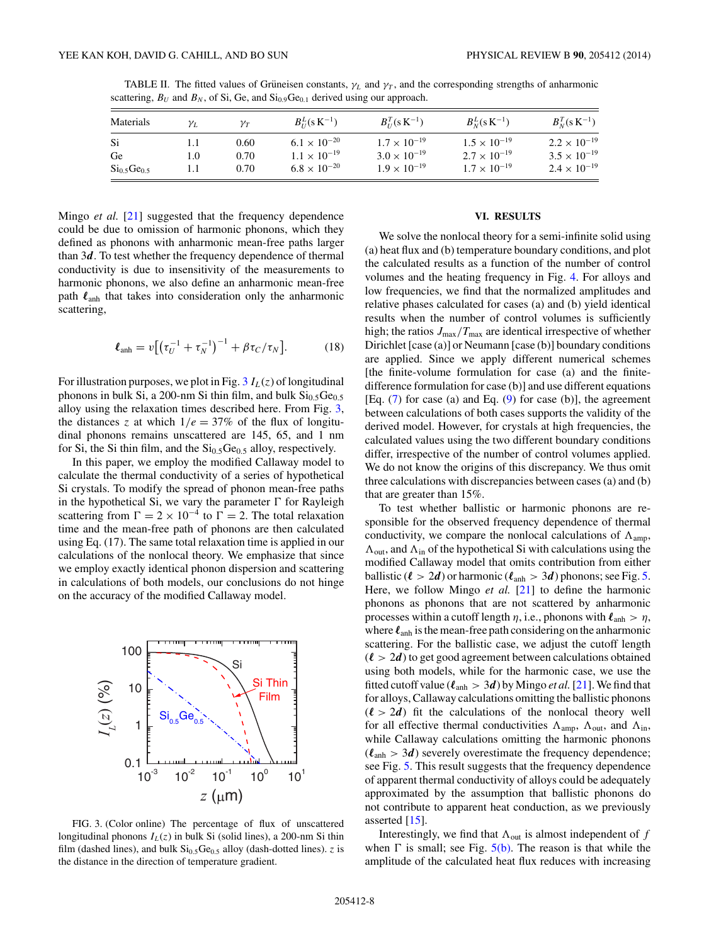<span id="page-7-0"></span>TABLE II. The fitted values of Grüneisen constants,  $\gamma_L$  and  $\gamma_T$ , and the corresponding strengths of anharmonic scattering,  $B_U$  and  $B_N$ , of Si, Ge, and  $Si_{0.9}Ge_{0.1}$  derived using our approach.

| Materials                           | $\gamma_L$ | $\mathcal{V}T$ | $B_{II}^{L}(s K^{-1})$ | $B_{U}^{T}$ (s K <sup>-1</sup> ) | $B_N^L$ (s K <sup>-1</sup> ) | $B_N^T (s K^{-1})$    |
|-------------------------------------|------------|----------------|------------------------|----------------------------------|------------------------------|-----------------------|
| Si.                                 |            | 0.60           | $6.1 \times 10^{-20}$  | $1.7 \times 10^{-19}$            | $1.5 \times 10^{-19}$        | $2.2 \times 10^{-19}$ |
| Ge                                  | 1.0        | 0.70           | $1.1 \times 10^{-19}$  | $3.0 \times 10^{-19}$            | $2.7 \times 10^{-19}$        | $3.5 \times 10^{-19}$ |
| Si <sub>0.5</sub> Ge <sub>0.5</sub> |            | 0.70           | $6.8 \times 10^{-20}$  | $1.9 \times 10^{-19}$            | $1.7 \times 10^{-19}$        | $2.4 \times 10^{-19}$ |

Mingo *et al.* [\[21\]](#page-10-0) suggested that the frequency dependence could be due to omission of harmonic phonons, which they defined as phonons with anharmonic mean-free paths larger than 3*d*. To test whether the frequency dependence of thermal conductivity is due to insensitivity of the measurements to harmonic phonons, we also define an anharmonic mean-free path  $\ell_{\rm anh}$  that takes into consideration only the anharmonic scattering,

$$
\ell_{\rm anh} = v \big[ \big( \tau_U^{-1} + \tau_N^{-1} \big)^{-1} + \beta \tau_C / \tau_N \big]. \tag{18}
$$

For illustration purposes, we plot in Fig.  $3 I_L(z)$  of longitudinal phonons in bulk Si, a 200-nm Si thin film, and bulk  $Si<sub>0.5</sub>Ge<sub>0.5</sub>$ alloy using the relaxation times described here. From Fig. 3, the distances *z* at which  $1/e = 37\%$  of the flux of longitudinal phonons remains unscattered are 145, 65, and 1 nm for Si, the Si thin film, and the  $Si<sub>0.5</sub>Ge<sub>0.5</sub>$  alloy, respectively.

In this paper, we employ the modified Callaway model to calculate the thermal conductivity of a series of hypothetical Si crystals. To modify the spread of phonon mean-free paths in the hypothetical Si, we vary the parameter  $\Gamma$  for Rayleigh scattering from  $\Gamma = 2 \times 10^{-4}$  to  $\Gamma = 2$ . The total relaxation time and the mean-free path of phonons are then calculated using Eq. (17). The same total relaxation time is applied in our calculations of the nonlocal theory. We emphasize that since we employ exactly identical phonon dispersion and scattering in calculations of both models, our conclusions do not hinge on the accuracy of the modified Callaway model.



FIG. 3. (Color online) The percentage of flux of unscattered longitudinal phonons  $I_L(z)$  in bulk Si (solid lines), a 200-nm Si thin film (dashed lines), and bulk  $Si<sub>0.5</sub>Ge<sub>0.5</sub>$  alloy (dash-dotted lines). *z* is the distance in the direction of temperature gradient.

#### **VI. RESULTS**

We solve the nonlocal theory for a semi-infinite solid using (a) heat flux and (b) temperature boundary conditions, and plot the calculated results as a function of the number of control volumes and the heating frequency in Fig. [4.](#page-8-0) For alloys and low frequencies, we find that the normalized amplitudes and relative phases calculated for cases (a) and (b) yield identical results when the number of control volumes is sufficiently high; the ratios  $J_{\text{max}}/T_{\text{max}}$  are identical irrespective of whether Dirichlet [case (a)] or Neumann [case (b)] boundary conditions are applied. Since we apply different numerical schemes [the finite-volume formulation for case (a) and the finitedifference formulation for case (b)] and use different equations [Eq. [\(7\)](#page-3-0) for case (a) and Eq. [\(9\)](#page-3-0) for case (b)], the agreement between calculations of both cases supports the validity of the derived model. However, for crystals at high frequencies, the calculated values using the two different boundary conditions differ, irrespective of the number of control volumes applied. We do not know the origins of this discrepancy. We thus omit three calculations with discrepancies between cases (a) and (b) that are greater than 15%.

To test whether ballistic or harmonic phonons are responsible for the observed frequency dependence of thermal conductivity, we compare the nonlocal calculations of  $A_{amp}$ ,  $\Lambda_{\text{out}}$ , and  $\Lambda_{\text{in}}$  of the hypothetical Si with calculations using the modified Callaway model that omits contribution from either ballistic ( $\ell > 2d$ ) or harmonic ( $\ell_{\text{anh}} > 3d$ ) phonons; see Fig. [5.](#page-8-0) Here, we follow Mingo *et al.* [\[21\]](#page-10-0) to define the harmonic phonons as phonons that are not scattered by anharmonic processes within a cutoff length  $\eta$ , i.e., phonons with  $\ell_{\rm anh} > \eta$ , where  $\ell_{\text{anh}}$  is the mean-free path considering on the anharmonic scattering. For the ballistic case, we adjust the cutoff length  $(\ell > 2d)$  to get good agreement between calculations obtained using both models, while for the harmonic case, we use the fitted cutoff value ( $\ell_{\text{anh}} > 3d$ ) by Mingo *et al.* [\[21\]](#page-10-0). We find that for alloys, Callaway calculations omitting the ballistic phonons  $(\ell > 2d)$  fit the calculations of the nonlocal theory well for all effective thermal conductivities  $\Lambda_{amp}$ ,  $\Lambda_{out}$ , and  $\Lambda_{in}$ , while Callaway calculations omitting the harmonic phonons  $(\ell_{\text{anh}} > 3d)$  severely overestimate the frequency dependence; see Fig. [5.](#page-8-0) This result suggests that the frequency dependence of apparent thermal conductivity of alloys could be adequately approximated by the assumption that ballistic phonons do not contribute to apparent heat conduction, as we previously asserted [\[15\]](#page-10-0).

Interestingly, we find that  $\Lambda_{\text{out}}$  is almost independent of  $f$ when  $\Gamma$  is small; see Fig.  $5(b)$ . The reason is that while the amplitude of the calculated heat flux reduces with increasing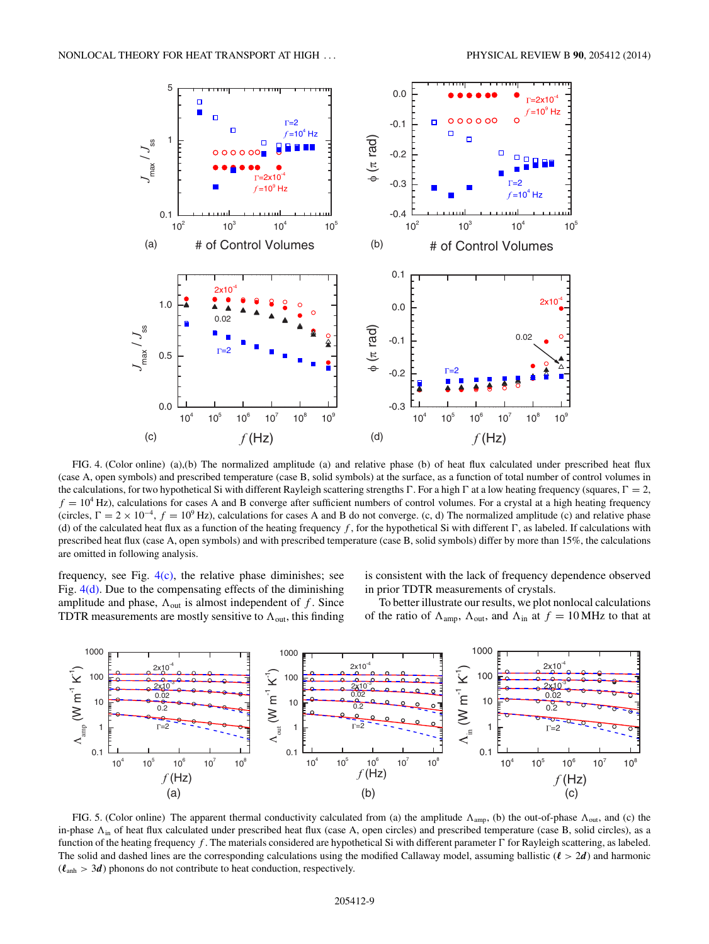<span id="page-8-0"></span>

FIG. 4. (Color online) (a),(b) The normalized amplitude (a) and relative phase (b) of heat flux calculated under prescribed heat flux (case A, open symbols) and prescribed temperature (case B, solid symbols) at the surface, as a function of total number of control volumes in the calculations, for two hypothetical Si with different Rayleigh scattering strengths  $\Gamma$ . For a high  $\Gamma$  at a low heating frequency (squares,  $\Gamma = 2$ ,  $f = 10<sup>4</sup>$  Hz), calculations for cases A and B converge after sufficient numbers of control volumes. For a crystal at a high heating frequency (circles,  $\Gamma = 2 \times 10^{-4}$ ,  $f = 10^{9}$  Hz), calculations for cases A and B do not converge. (c, d) The normalized amplitude (c) and relative phase (d) of the calculated heat flux as a function of the heating frequency  $f$ , for the hypothetical Si with different  $\Gamma$ , as labeled. If calculations with prescribed heat flux (case A, open symbols) and with prescribed temperature (case B, solid symbols) differ by more than 15%, the calculations are omitted in following analysis.

frequency, see Fig.  $4(c)$ , the relative phase diminishes; see Fig.  $4(d)$ . Due to the compensating effects of the diminishing amplitude and phase,  $\Lambda_{\text{out}}$  is almost independent of  $f$ . Since TDTR measurements are mostly sensitive to  $\Lambda_{\text{out}}$ , this finding

is consistent with the lack of frequency dependence observed in prior TDTR measurements of crystals.

To better illustrate our results, we plot nonlocal calculations of the ratio of  $\Lambda_{\text{amp}}$ ,  $\Lambda_{\text{out}}$ , and  $\Lambda_{\text{in}}$  at  $f = 10 \text{ MHz}$  to that at



FIG. 5. (Color online) The apparent thermal conductivity calculated from (a) the amplitude  $\Lambda_{amp}$ , (b) the out-of-phase  $\Lambda_{out}$ , and (c) the in-phase  $\Lambda_{\text{in}}$  of heat flux calculated under prescribed heat flux (case A, open circles) and prescribed temperature (case B, solid circles), as a function of the heating frequency  $f$ . The materials considered are hypothetical Si with different parameter  $\Gamma$  for Rayleigh scattering, as labeled. The solid and dashed lines are the corresponding calculations using the modified Callaway model, assuming ballistic  $(\ell > 2d)$  and harmonic  $(\ell_{\text{anh}} > 3d)$  phonons do not contribute to heat conduction, respectively.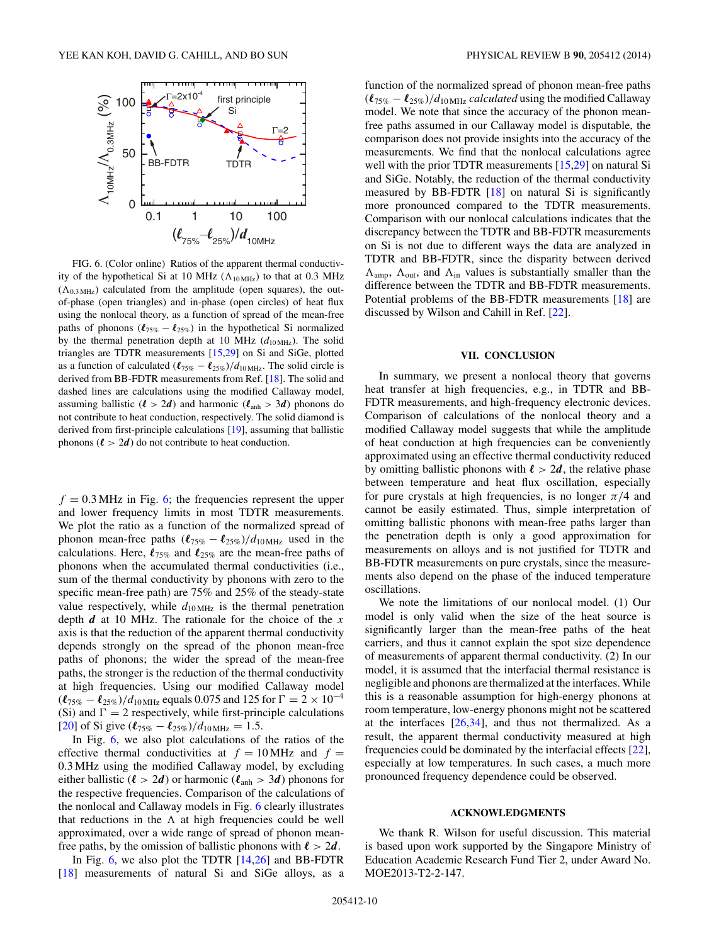<span id="page-9-0"></span>

FIG. 6. (Color online) Ratios of the apparent thermal conductivity of the hypothetical Si at 10 MHz  $(\Lambda_{10 \text{ MHz}})$  to that at 0.3 MHz  $(\Lambda_{0.3 \text{ MHz}})$  calculated from the amplitude (open squares), the outof-phase (open triangles) and in-phase (open circles) of heat flux using the nonlocal theory, as a function of spread of the mean-free paths of phonons  $(\ell_{75\%} - \ell_{25\%})$  in the hypothetical Si normalized by the thermal penetration depth at 10 MHz ( $d_{10\text{ MHz}}$ ). The solid triangles are TDTR measurements [\[15,29\]](#page-10-0) on Si and SiGe, plotted as a function of calculated  $(\ell_{75\%} - \ell_{25\%})/d_{10 \text{ MHz}}$ . The solid circle is derived from BB-FDTR measurements from Ref. [\[18\]](#page-10-0). The solid and dashed lines are calculations using the modified Callaway model, assuming ballistic ( $\ell > 2d$ ) and harmonic ( $\ell_{\text{anh}} > 3d$ ) phonons do not contribute to heat conduction, respectively. The solid diamond is derived from first-principle calculations [\[19\]](#page-10-0), assuming that ballistic phonons  $(l > 2d)$  do not contribute to heat conduction.

 $f = 0.3$  MHz in Fig. 6; the frequencies represent the upper and lower frequency limits in most TDTR measurements. We plot the ratio as a function of the normalized spread of phonon mean-free paths  $(\ell_{75\%} - \ell_{25\%})/d_{10 \text{ MHz}}$  used in the calculations. Here,  $\ell_{75\%}$  and  $\ell_{25\%}$  are the mean-free paths of phonons when the accumulated thermal conductivities (i.e., sum of the thermal conductivity by phonons with zero to the specific mean-free path) are 75% and 25% of the steady-state value respectively, while  $d_{10\text{ MHz}}$  is the thermal penetration depth *d* at 10 MHz. The rationale for the choice of the *x* axis is that the reduction of the apparent thermal conductivity depends strongly on the spread of the phonon mean-free paths of phonons; the wider the spread of the mean-free paths, the stronger is the reduction of the thermal conductivity at high frequencies. Using our modified Callaway model  $(\ell_{75\%} - \ell_{25\%})/d_{10 \text{ MHz}}$  equals 0.075 and 125 for  $\Gamma = 2 \times 10^{-4}$ (Si) and  $\Gamma = 2$  respectively, while first-principle calculations  $[20]$  of Si give  $(\ell_{75\%} - \ell_{25\%})/d_{10 \text{ MHz}} = 1.5.$ 

In Fig. 6, we also plot calculations of the ratios of the effective thermal conductivities at  $f = 10$  MHz and  $f =$ 0*.*3 MHz using the modified Callaway model, by excluding either ballistic ( $\ell > 2d$ ) or harmonic ( $\ell_{\text{anh}} > 3d$ ) phonons for the respective frequencies. Comparison of the calculations of the nonlocal and Callaway models in Fig. 6 clearly illustrates that reductions in the  $\Lambda$  at high frequencies could be well approximated, over a wide range of spread of phonon meanfree paths, by the omission of ballistic phonons with  $\ell > 2d$ .

In Fig.  $6$ , we also plot the TDTR  $[14,26]$  and BB-FDTR [\[18\]](#page-10-0) measurements of natural Si and SiGe alloys, as a function of the normalized spread of phonon mean-free paths  $(\ell_{75\%} - \ell_{25\%})/d_{10 \text{ MHz}}$  *calculated* using the modified Callaway model. We note that since the accuracy of the phonon meanfree paths assumed in our Callaway model is disputable, the comparison does not provide insights into the accuracy of the measurements. We find that the nonlocal calculations agree well with the prior TDTR measurements [\[15,29\]](#page-10-0) on natural Si and SiGe. Notably, the reduction of the thermal conductivity measured by BB-FDTR [\[18\]](#page-10-0) on natural Si is significantly more pronounced compared to the TDTR measurements. Comparison with our nonlocal calculations indicates that the discrepancy between the TDTR and BB-FDTR measurements on Si is not due to different ways the data are analyzed in TDTR and BB-FDTR, since the disparity between derived  $\Lambda_{\text{amp}}$ ,  $\Lambda_{\text{out}}$ , and  $\Lambda_{\text{in}}$  values is substantially smaller than the difference between the TDTR and BB-FDTR measurements. Potential problems of the BB-FDTR measurements [\[18\]](#page-10-0) are discussed by Wilson and Cahill in Ref. [\[22\]](#page-10-0).

### **VII. CONCLUSION**

In summary, we present a nonlocal theory that governs heat transfer at high frequencies, e.g., in TDTR and BB-FDTR measurements, and high-frequency electronic devices. Comparison of calculations of the nonlocal theory and a modified Callaway model suggests that while the amplitude of heat conduction at high frequencies can be conveniently approximated using an effective thermal conductivity reduced by omitting ballistic phonons with  $\ell > 2d$ , the relative phase between temperature and heat flux oscillation, especially for pure crystals at high frequencies, is no longer  $\pi/4$  and cannot be easily estimated. Thus, simple interpretation of omitting ballistic phonons with mean-free paths larger than the penetration depth is only a good approximation for measurements on alloys and is not justified for TDTR and BB-FDTR measurements on pure crystals, since the measurements also depend on the phase of the induced temperature oscillations.

We note the limitations of our nonlocal model. (1) Our model is only valid when the size of the heat source is significantly larger than the mean-free paths of the heat carriers, and thus it cannot explain the spot size dependence of measurements of apparent thermal conductivity. (2) In our model, it is assumed that the interfacial thermal resistance is negligible and phonons are thermalized at the interfaces. While this is a reasonable assumption for high-energy phonons at room temperature, low-energy phonons might not be scattered at the interfaces  $[26,34]$ , and thus not thermalized. As a result, the apparent thermal conductivity measured at high frequencies could be dominated by the interfacial effects [\[22\]](#page-10-0), especially at low temperatures. In such cases, a much more pronounced frequency dependence could be observed.

### **ACKNOWLEDGMENTS**

We thank R. Wilson for useful discussion. This material is based upon work supported by the Singapore Ministry of Education Academic Research Fund Tier 2, under Award No. MOE2013-T2-2-147.